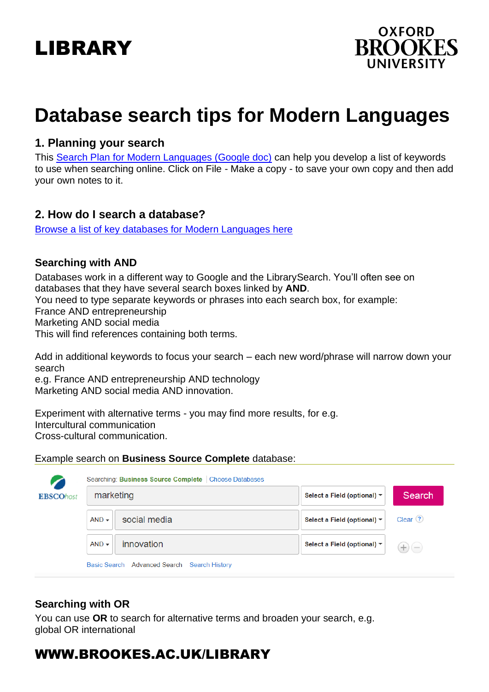# LIBRARY



# **Database search tips for Modern Languages**

## **1. Planning your search**

This Search Plan [for Modern Languages](https://docs.google.com/document/d/1JZsCwtMNSiIoDEIxPRbUef7il9FxONeCYDwy_xQSv9Q/edit?usp=sharing) (Google doc) can help you develop a list of keywords to use when searching online. Click on File - Make a copy - to save your own copy and then add your own notes to it.

### **2. How do I search a database?**

[Browse a list of key databases for Modern Languages](https://www.brookes.ac.uk/library/resources-and-services/course-resource-help/modern-languages) her[e](https://www.brookes.ac.uk/library/resources-and-services/course-resource-help/modern-languages)

### **Searching with AND**

Databases work in a different way to Google and the LibrarySearch. You'll often see on databases that they have several search boxes linked by **AND**. You need to type separate keywords or phrases into each search box, for example: France AND entrepreneurship Marketing AND social media This will find references containing both terms.

Add in additional keywords to focus your search – each new word/phrase will narrow down your search

e.g. France AND entrepreneurship AND technology Marketing AND social media AND innovation.

Experiment with alternative terms - you may find more results, for e.g. Intercultural communication Cross-cultural communication.

#### Example search on **Business Source Complete** database:

| <b>EBSCOhost</b> | marketing |              | Select a Field (optional) ▼ | Search               |
|------------------|-----------|--------------|-----------------------------|----------------------|
|                  | $AND -$   | social media | Select a Field (optional) ▼ | Clear <sup>(?)</sup> |
|                  | $AND -$   | innovation   | Select a Field (optional) ▼ | $+$ ) (-             |

### **Searching with OR**

You can use **OR** to search for alternative terms and broaden your search, e.g. global OR international

# WWW.BROOKES.AC.UK/LIBRARY